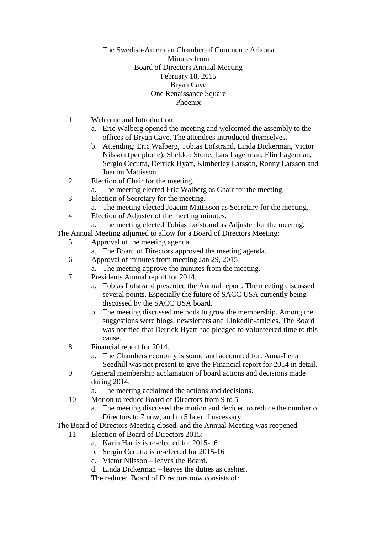## The Swedish-American Chamber of Commerce Arizona Minutes from Board of Directors Annual Meeting February 18, 2015 Bryan Cave One Renaissance Square Phoenix

- 1 Welcome and Introduction.
	- a. Eric Walberg opened the meeting and welcomed the assembly to the offices of Bryan Cave. The attendees introduced themselves.
	- b. Attending: Eric Walberg, Tobias Lofstrand, Linda Dickerman, Victor Nilsson (per phone), Sheldon Stone, Lars Lagerman, Elin Lagerman, Sergio Cecutta, Derrick Hyatt, Kimberley Larsson, Ronny Larsson and Joacim Mattisson.
- 2 Election of Chair for the meeting.
	- a. The meeting elected Eric Walberg as Chair for the meeting.
- 3 Election of Secretary for the meeting.
	- a. The meeting elected Joacim Mattisson as Secretary for the meeting.
- 4 Election of Adjuster of the meeting minutes.
	- a. The meeting elected Tobias Lofstrand as Adjuster for the meeting.

The Annual Meeting adjurned to allow for a Board of Directors Meeting:

- 5 Approval of the meeting agenda.
	- a. The Board of Directors approved the meeting agenda.
- 6 Approval of minutes from meeting Jan 29, 2015
	- a. The meeting approve the minutes from the meeting.
- 7 Presidents Annual report for 2014.
	- a. Tobias Lofstrand presented the Annual report. The meeting discussed several points. Especially the future of SACC USA currently being discussed by the SACC USA board.
	- b. The meeting discussed methods to grow the membership. Among the suggestions were blogs, newsletters and LinkedIn-articles. The Board was notified that Derrick Hyatt had pledged to volunteered time to this cause.
- 8 Financial report for 2014.
	- a. The Chambers economy is sound and accounted for. Anna-Lena Seedhill was not present to give the Financial report for 2014 in detail.
- 9 General membership acclamation of board actions and decisions made during 2014.
	- a. The meeting acclaimed the actions and decisions.
- 10 Motion to reduce Board of Directors from 9 to 5
	- a. The meeting discussed the motion and decided to reduce the number of Directors to 7 now, and to 5 later if necessary.
- The Board of Directors Meeting closed, and the Annual Meeting was reopened.
	- 11 Election of Board of Directors 2015:
		- a. Karin Harris is re-elected for 2015-16
		- b. Sergio Cecutta is re-elected for 2015-16
		- c. Victor Nilsson leaves the Board.
		- d. Linda Dickerman leaves the duties as cashier.

The reduced Board of Directors now consists of: